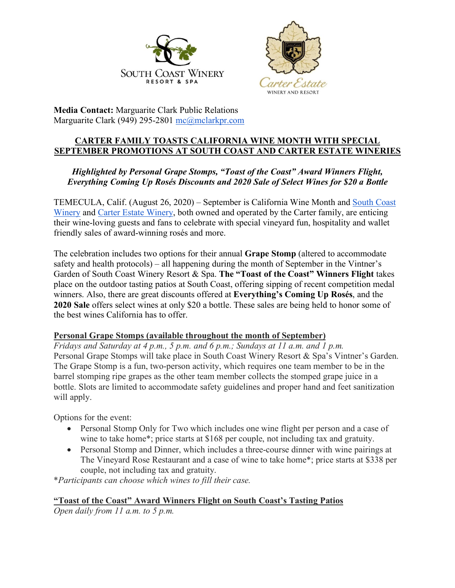



**Media Contact:** Marguarite Clark Public Relations Marguarite Clark (949) 295-2801 mc@mclarkpr.com

### **CARTER FAMILY TOASTS CALIFORNIA WINE MONTH WITH SPECIAL SEPTEMBER PROMOTIONS AT SOUTH COAST AND CARTER ESTATE WINERIES**

## *Highlighted by Personal Grape Stomps, "Toast of the Coast" Award Winners Flight, Everything Coming Up Rosés Discounts and 2020 Sale of Select Wines for \$20 a Bottle*

TEMECULA, Calif. (August 26, 2020) – September is California Wine Month and South Coast Winery and Carter Estate Winery, both owned and operated by the Carter family, are enticing their wine-loving guests and fans to celebrate with special vineyard fun, hospitality and wallet friendly sales of award-winning rosés and more.

The celebration includes two options for their annual **Grape Stomp** (altered to accommodate safety and health protocols) – all happening during the month of September in the Vintner's Garden of South Coast Winery Resort & Spa. **The "Toast of the Coast" Winners Flight** takes place on the outdoor tasting patios at South Coast, offering sipping of recent competition medal winners. Also, there are great discounts offered at **Everything's Coming Up Rosés**, and the **2020 Sale** offers select wines at only \$20 a bottle. These sales are being held to honor some of the best wines California has to offer.

### **Personal Grape Stomps (available throughout the month of September)**

*Fridays and Saturday at 4 p.m., 5 p.m. and 6 p.m.; Sundays at 11 a.m. and 1 p.m.* Personal Grape Stomps will take place in South Coast Winery Resort & Spa's Vintner's Garden. The Grape Stomp is a fun, two-person activity, which requires one team member to be in the barrel stomping ripe grapes as the other team member collects the stomped grape juice in a bottle. Slots are limited to accommodate safety guidelines and proper hand and feet sanitization will apply.

Options for the event:

- Personal Stomp Only for Two which includes one wine flight per person and a case of wine to take home\*; price starts at \$168 per couple, not including tax and gratuity.
- Personal Stomp and Dinner, which includes a three-course dinner with wine pairings at The Vineyard Rose Restaurant and a case of wine to take home\*; price starts at \$338 per couple, not including tax and gratuity.

\**Participants can choose which wines to fill their case.*

## **"Toast of the Coast" Award Winners Flight on South Coast's Tasting Patios**

*Open daily from 11 a.m. to 5 p.m.*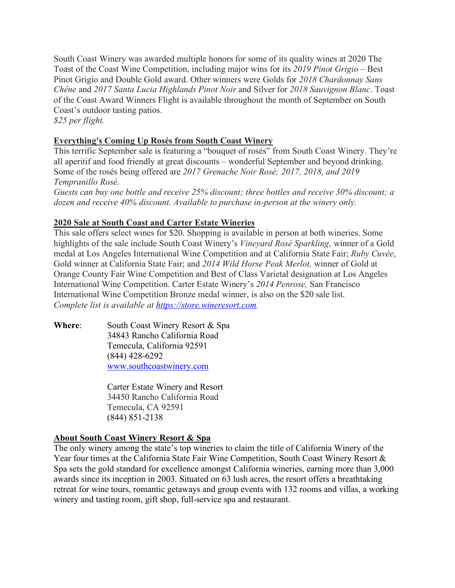South Coast Winery was awarded multiple honors for some of its quality wines at 2020 The Toast of the Coast Wine Competition, including major wins for its *2019 Pinot Grigio* – Best Pinot Grigio and Double Gold award. Other winners were Golds for *2018 Chardonnay Sans Chêne* and *2017 Santa Lucia Highlands Pinot Noir* and Silver for *2018 Sauvignon Blanc*. Toast of the Coast Award Winners Flight is available throughout the month of September on South Coast's outdoor tasting patios. *\$25 per flight.*

# **Everything's Coming Up Rosés from South Coast Winery**

This terrific September sale is featuring a "bouquet of rosés" from South Coast Winery. They're all aperitif and food friendly at great discounts – wonderful September and beyond drinking. Some of the rosés being offered are *2017 Grenache Noir Rosé; 2017, 2018, and 2019 Tempranillo Rosé. Guests can buy one bottle and receive 25% discount; three bottles and receive 30% discount; a* 

*dozen and receive 40% discount. Available to purchase in-person at the winery only.*

## **2020 Sale at South Coast and Carter Estate Wineries**

This sale offers select wines for \$20. Shopping is available in person at both wineries. Some highlights of the sale include South Coast Winery's *Vineyard Rosé Sparkling*, winner of a Gold medal at Los Angeles International Wine Competition and at California State Fair; *Ruby Cuvée*, Gold winner at California State Fair; and *2014 Wild Horse Peak Merlot,* winner of Gold at Orange County Fair Wine Competition and Best of Class Varietal designation at Los Angeles International Wine Competition. Carter Estate Winery's *2014 Penrose,* San Francisco International Wine Competition Bronze medal winner, is also on the \$20 sale list. *Complete list is available at https://store.wineresort.com.*

**Where:** South Coast Winery Resort & Spa 34843 Rancho California Road Temecula, California 92591 (844) 428-6292 www.southcoastwinery.com

> Carter Estate Winery and Resort 34450 Rancho California Road Temecula, CA 92591 (844) 851-2138

### **About South Coast Winery Resort & Spa**

The only winery among the state's top wineries to claim the title of California Winery of the Year four times at the California State Fair Wine Competition, South Coast Winery Resort & Spa sets the gold standard for excellence amongst California wineries, earning more than 3,000 awards since its inception in 2003. Situated on 63 lush acres, the resort offers a breathtaking retreat for wine tours, romantic getaways and group events with 132 rooms and villas, a working winery and tasting room, gift shop, full-service spa and restaurant.